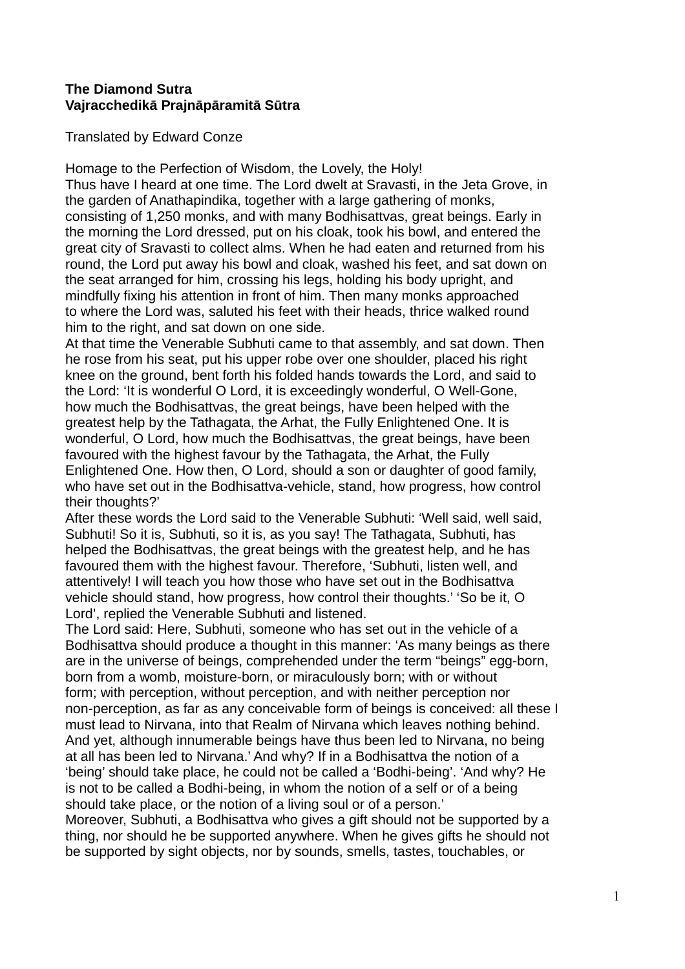## **The Diamond Sutra Vajracchedikā Prajnāpāramitā Sūtra**

Translated by Edward Conze

Homage to the Perfection of Wisdom, the Lovely, the Holy! Thus have I heard at one time. The Lord dwelt at Sravasti, in the Jeta Grove, in the garden of Anathapindika, together with a large gathering of monks, consisting of 1,250 monks, and with many Bodhisattvas, great beings. Early in the morning the Lord dressed, put on his cloak, took his bowl, and entered the great city of Sravasti to collect alms. When he had eaten and returned from his round, the Lord put away his bowl and cloak, washed his feet, and sat down on the seat arranged for him, crossing his legs, holding his body upright, and mindfully fixing his attention in front of him. Then many monks approached to where the Lord was, saluted his feet with their heads, thrice walked round him to the right, and sat down on one side.

At that time the Venerable Subhuti came to that assembly, and sat down. Then he rose from his seat, put his upper robe over one shoulder, placed his right knee on the ground, bent forth his folded hands towards the Lord, and said to the Lord: 'It is wonderful O Lord, it is exceedingly wonderful, O Well-Gone, how much the Bodhisattvas, the great beings, have been helped with the greatest help by the Tathagata, the Arhat, the Fully Enlightened One. It is wonderful, O Lord, how much the Bodhisattvas, the great beings, have been favoured with the highest favour by the Tathagata, the Arhat, the Fully Enlightened One. How then, O Lord, should a son or daughter of good family, who have set out in the Bodhisattva-vehicle, stand, how progress, how control their thoughts?'

After these words the Lord said to the Venerable Subhuti: 'Well said, well said, Subhuti! So it is, Subhuti, so it is, as you say! The Tathagata, Subhuti, has helped the Bodhisattvas, the great beings with the greatest help, and he has favoured them with the highest favour. Therefore, 'Subhuti, listen well, and attentively! I will teach you how those who have set out in the Bodhisattva vehicle should stand, how progress, how control their thoughts.' 'So be it, O Lord', replied the Venerable Subhuti and listened.

The Lord said: Here, Subhuti, someone who has set out in the vehicle of a Bodhisattva should produce a thought in this manner: 'As many beings as there are in the universe of beings, comprehended under the term "beings" egg-born, born from a womb, moisture-born, or miraculously born; with or without form; with perception, without perception, and with neither perception nor non-perception, as far as any conceivable form of beings is conceived: all these I must lead to Nirvana, into that Realm of Nirvana which leaves nothing behind. And yet, although innumerable beings have thus been led to Nirvana, no being at all has been led to Nirvana.' And why? If in a Bodhisattva the notion of a 'being' should take place, he could not be called a 'Bodhi-being'. 'And why? He is not to be called a Bodhi-being, in whom the notion of a self or of a being should take place, or the notion of a living soul or of a person.'

Moreover, Subhuti, a Bodhisattva who gives a gift should not be supported by a thing, nor should he be supported anywhere. When he gives gifts he should not be supported by sight objects, nor by sounds, smells, tastes, touchables, or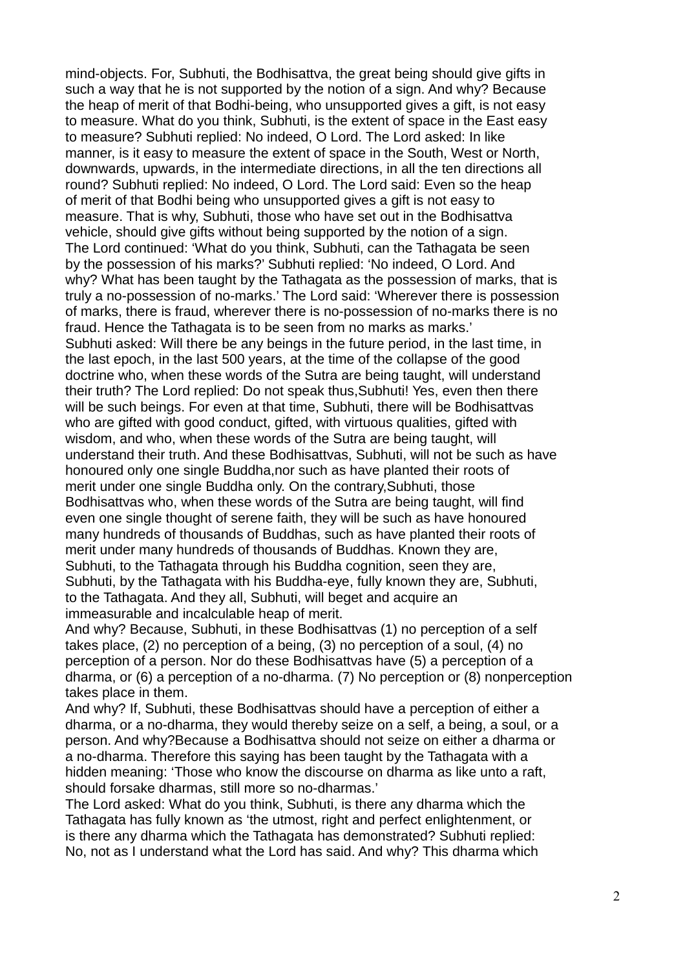mind-objects. For, Subhuti, the Bodhisattva, the great being should give gifts in such a way that he is not supported by the notion of a sign. And why? Because the heap of merit of that Bodhi-being, who unsupported gives a gift, is not easy to measure. What do you think, Subhuti, is the extent of space in the East easy to measure? Subhuti replied: No indeed, O Lord. The Lord asked: In like manner, is it easy to measure the extent of space in the South, West or North, downwards, upwards, in the intermediate directions, in all the ten directions all round? Subhuti replied: No indeed, O Lord. The Lord said: Even so the heap of merit of that Bodhi being who unsupported gives a gift is not easy to measure. That is why, Subhuti, those who have set out in the Bodhisattva vehicle, should give gifts without being supported by the notion of a sign. The Lord continued: 'What do you think, Subhuti, can the Tathagata be seen by the possession of his marks?' Subhuti replied: 'No indeed, O Lord. And why? What has been taught by the Tathagata as the possession of marks, that is truly a no-possession of no-marks.' The Lord said: 'Wherever there is possession of marks, there is fraud, wherever there is no-possession of no-marks there is no fraud. Hence the Tathagata is to be seen from no marks as marks.' Subhuti asked: Will there be any beings in the future period, in the last time, in the last epoch, in the last 500 years, at the time of the collapse of the good doctrine who, when these words of the Sutra are being taught, will understand their truth? The Lord replied: Do not speak thus,Subhuti! Yes, even then there will be such beings. For even at that time, Subhuti, there will be Bodhisattvas who are gifted with good conduct, gifted, with virtuous qualities, gifted with wisdom, and who, when these words of the Sutra are being taught, will understand their truth. And these Bodhisattvas, Subhuti, will not be such as have honoured only one single Buddha,nor such as have planted their roots of merit under one single Buddha only. On the contrary,Subhuti, those Bodhisattvas who, when these words of the Sutra are being taught, will find even one single thought of serene faith, they will be such as have honoured many hundreds of thousands of Buddhas, such as have planted their roots of merit under many hundreds of thousands of Buddhas. Known they are, Subhuti, to the Tathagata through his Buddha cognition, seen they are, Subhuti, by the Tathagata with his Buddha-eye, fully known they are, Subhuti, to the Tathagata. And they all, Subhuti, will beget and acquire an immeasurable and incalculable heap of merit.

And why? Because, Subhuti, in these Bodhisattvas (1) no perception of a self takes place, (2) no perception of a being, (3) no perception of a soul, (4) no perception of a person. Nor do these Bodhisattvas have (5) a perception of a dharma, or (6) a perception of a no-dharma. (7) No perception or (8) nonperception takes place in them.

And why? If, Subhuti, these Bodhisattvas should have a perception of either a dharma, or a no-dharma, they would thereby seize on a self, a being, a soul, or a person. And why?Because a Bodhisattva should not seize on either a dharma or a no-dharma. Therefore this saying has been taught by the Tathagata with a hidden meaning: 'Those who know the discourse on dharma as like unto a raft, should forsake dharmas, still more so no-dharmas.'

The Lord asked: What do you think, Subhuti, is there any dharma which the Tathagata has fully known as 'the utmost, right and perfect enlightenment, or is there any dharma which the Tathagata has demonstrated? Subhuti replied: No, not as I understand what the Lord has said. And why? This dharma which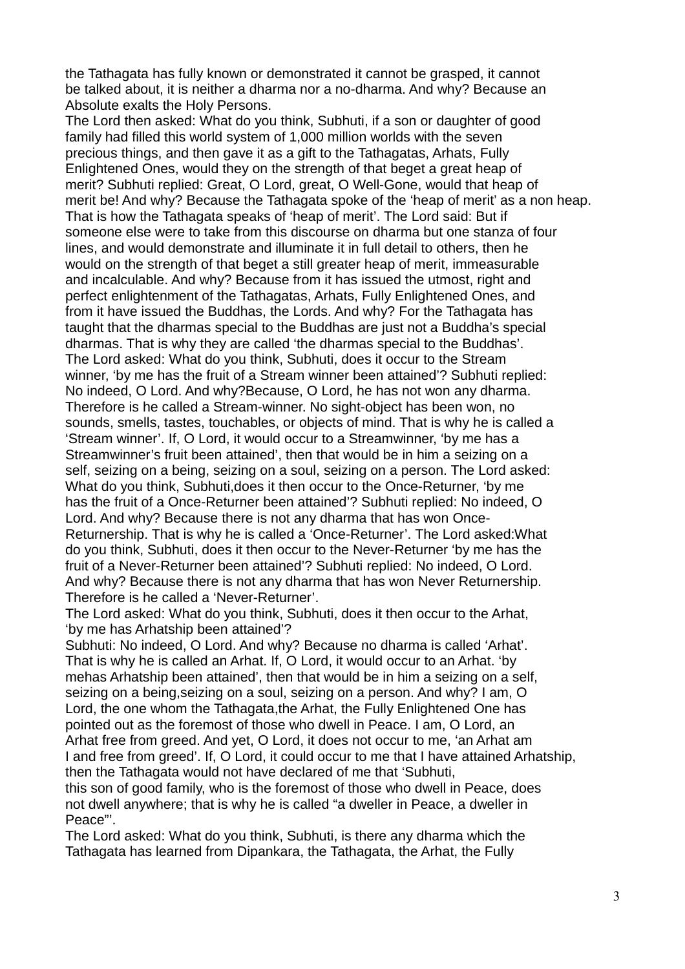the Tathagata has fully known or demonstrated it cannot be grasped, it cannot be talked about, it is neither a dharma nor a no-dharma. And why? Because an Absolute exalts the Holy Persons.

The Lord then asked: What do you think, Subhuti, if a son or daughter of good family had filled this world system of 1,000 million worlds with the seven precious things, and then gave it as a gift to the Tathagatas, Arhats, Fully Enlightened Ones, would they on the strength of that beget a great heap of merit? Subhuti replied: Great, O Lord, great, O Well-Gone, would that heap of merit be! And why? Because the Tathagata spoke of the 'heap of merit' as a non heap. That is how the Tathagata speaks of 'heap of merit'. The Lord said: But if someone else were to take from this discourse on dharma but one stanza of four lines, and would demonstrate and illuminate it in full detail to others, then he would on the strength of that beget a still greater heap of merit, immeasurable and incalculable. And why? Because from it has issued the utmost, right and perfect enlightenment of the Tathagatas, Arhats, Fully Enlightened Ones, and from it have issued the Buddhas, the Lords. And why? For the Tathagata has taught that the dharmas special to the Buddhas are just not a Buddha's special dharmas. That is why they are called 'the dharmas special to the Buddhas'. The Lord asked: What do you think, Subhuti, does it occur to the Stream winner, 'by me has the fruit of a Stream winner been attained'? Subhuti replied: No indeed, O Lord. And why?Because, O Lord, he has not won any dharma. Therefore is he called a Stream-winner. No sight-object has been won, no sounds, smells, tastes, touchables, or objects of mind. That is why he is called a 'Stream winner'. If, O Lord, it would occur to a Streamwinner, 'by me has a Streamwinner's fruit been attained', then that would be in him a seizing on a self, seizing on a being, seizing on a soul, seizing on a person. The Lord asked: What do you think, Subhuti,does it then occur to the Once-Returner, 'by me has the fruit of a Once-Returner been attained'? Subhuti replied: No indeed, O Lord. And why? Because there is not any dharma that has won Once-Returnership. That is why he is called a 'Once-Returner'. The Lord asked:What do you think, Subhuti, does it then occur to the Never-Returner 'by me has the fruit of a Never-Returner been attained'? Subhuti replied: No indeed, O Lord. And why? Because there is not any dharma that has won Never Returnership. Therefore is he called a 'Never-Returner'.

The Lord asked: What do you think, Subhuti, does it then occur to the Arhat, 'by me has Arhatship been attained'?

Subhuti: No indeed, O Lord. And why? Because no dharma is called 'Arhat'. That is why he is called an Arhat. If, O Lord, it would occur to an Arhat. 'by mehas Arhatship been attained', then that would be in him a seizing on a self, seizing on a being,seizing on a soul, seizing on a person. And why? I am, O Lord, the one whom the Tathagata,the Arhat, the Fully Enlightened One has pointed out as the foremost of those who dwell in Peace. I am, O Lord, an Arhat free from greed. And yet, O Lord, it does not occur to me, 'an Arhat am I and free from greed'. If, O Lord, it could occur to me that I have attained Arhatship, then the Tathagata would not have declared of me that 'Subhuti,

this son of good family, who is the foremost of those who dwell in Peace, does not dwell anywhere; that is why he is called "a dweller in Peace, a dweller in Peace"'.

The Lord asked: What do you think, Subhuti, is there any dharma which the Tathagata has learned from Dipankara, the Tathagata, the Arhat, the Fully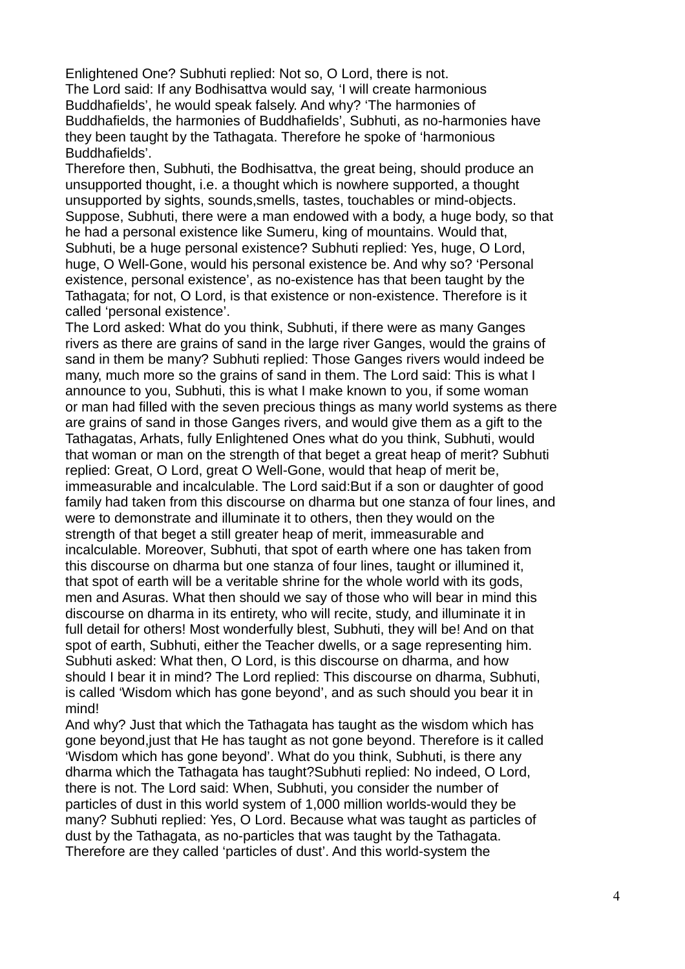Enlightened One? Subhuti replied: Not so, O Lord, there is not. The Lord said: If any Bodhisattva would say, 'I will create harmonious Buddhafields', he would speak falsely. And why? 'The harmonies of Buddhafields, the harmonies of Buddhafields', Subhuti, as no-harmonies have they been taught by the Tathagata. Therefore he spoke of 'harmonious Buddhafields'.

Therefore then, Subhuti, the Bodhisattva, the great being, should produce an unsupported thought, i.e. a thought which is nowhere supported, a thought unsupported by sights, sounds,smells, tastes, touchables or mind-objects. Suppose, Subhuti, there were a man endowed with a body, a huge body, so that he had a personal existence like Sumeru, king of mountains. Would that, Subhuti, be a huge personal existence? Subhuti replied: Yes, huge, O Lord, huge, O Well-Gone, would his personal existence be. And why so? 'Personal existence, personal existence', as no-existence has that been taught by the Tathagata; for not, O Lord, is that existence or non-existence. Therefore is it called 'personal existence'.

The Lord asked: What do you think, Subhuti, if there were as many Ganges rivers as there are grains of sand in the large river Ganges, would the grains of sand in them be many? Subhuti replied: Those Ganges rivers would indeed be many, much more so the grains of sand in them. The Lord said: This is what I announce to you, Subhuti, this is what I make known to you, if some woman or man had filled with the seven precious things as many world systems as there are grains of sand in those Ganges rivers, and would give them as a gift to the Tathagatas, Arhats, fully Enlightened Ones what do you think, Subhuti, would that woman or man on the strength of that beget a great heap of merit? Subhuti replied: Great, O Lord, great O Well-Gone, would that heap of merit be, immeasurable and incalculable. The Lord said:But if a son or daughter of good family had taken from this discourse on dharma but one stanza of four lines, and were to demonstrate and illuminate it to others, then they would on the strength of that beget a still greater heap of merit, immeasurable and incalculable. Moreover, Subhuti, that spot of earth where one has taken from this discourse on dharma but one stanza of four lines, taught or illumined it, that spot of earth will be a veritable shrine for the whole world with its gods, men and Asuras. What then should we say of those who will bear in mind this discourse on dharma in its entirety, who will recite, study, and illuminate it in full detail for others! Most wonderfully blest, Subhuti, they will be! And on that spot of earth, Subhuti, either the Teacher dwells, or a sage representing him. Subhuti asked: What then, O Lord, is this discourse on dharma, and how should I bear it in mind? The Lord replied: This discourse on dharma, Subhuti, is called 'Wisdom which has gone beyond', and as such should you bear it in mind!

And why? Just that which the Tathagata has taught as the wisdom which has gone beyond,just that He has taught as not gone beyond. Therefore is it called 'Wisdom which has gone beyond'. What do you think, Subhuti, is there any dharma which the Tathagata has taught?Subhuti replied: No indeed, O Lord, there is not. The Lord said: When, Subhuti, you consider the number of particles of dust in this world system of 1,000 million worlds-would they be many? Subhuti replied: Yes, O Lord. Because what was taught as particles of dust by the Tathagata, as no-particles that was taught by the Tathagata. Therefore are they called 'particles of dust'. And this world-system the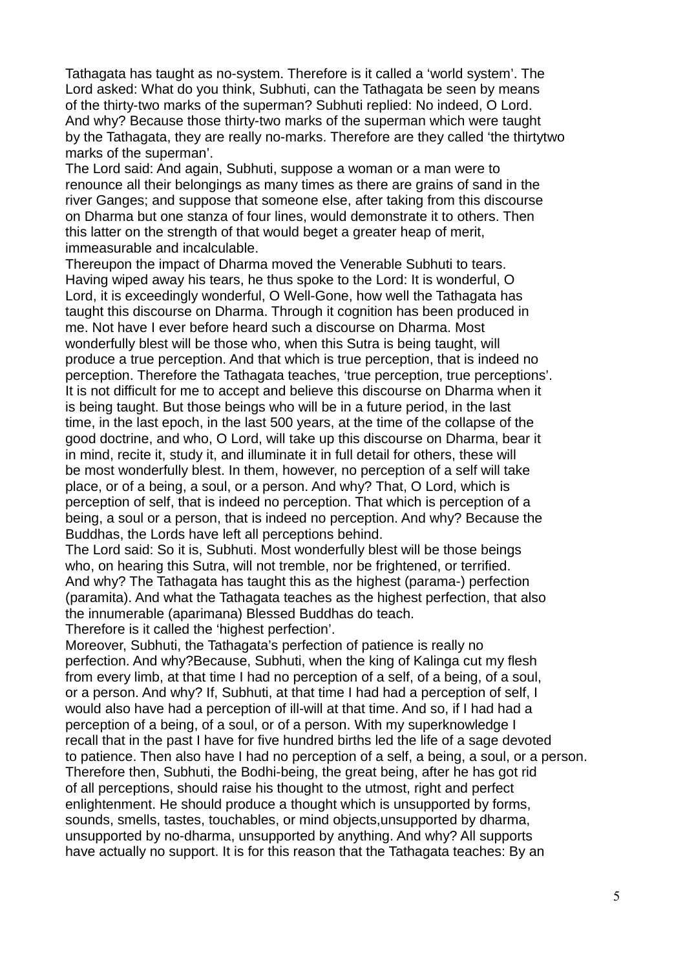Tathagata has taught as no-system. Therefore is it called a 'world system'. The Lord asked: What do you think, Subhuti, can the Tathagata be seen by means of the thirty-two marks of the superman? Subhuti replied: No indeed, O Lord. And why? Because those thirty-two marks of the superman which were taught by the Tathagata, they are really no-marks. Therefore are they called 'the thirtytwo marks of the superman'.

The Lord said: And again, Subhuti, suppose a woman or a man were to renounce all their belongings as many times as there are grains of sand in the river Ganges; and suppose that someone else, after taking from this discourse on Dharma but one stanza of four lines, would demonstrate it to others. Then this latter on the strength of that would beget a greater heap of merit, immeasurable and incalculable.

Thereupon the impact of Dharma moved the Venerable Subhuti to tears. Having wiped away his tears, he thus spoke to the Lord: It is wonderful, O Lord, it is exceedingly wonderful, O Well-Gone, how well the Tathagata has taught this discourse on Dharma. Through it cognition has been produced in me. Not have I ever before heard such a discourse on Dharma. Most wonderfully blest will be those who, when this Sutra is being taught, will produce a true perception. And that which is true perception, that is indeed no perception. Therefore the Tathagata teaches, 'true perception, true perceptions'. It is not difficult for me to accept and believe this discourse on Dharma when it is being taught. But those beings who will be in a future period, in the last time, in the last epoch, in the last 500 years, at the time of the collapse of the good doctrine, and who, O Lord, will take up this discourse on Dharma, bear it in mind, recite it, study it, and illuminate it in full detail for others, these will be most wonderfully blest. In them, however, no perception of a self will take place, or of a being, a soul, or a person. And why? That, O Lord, which is perception of self, that is indeed no perception. That which is perception of a being, a soul or a person, that is indeed no perception. And why? Because the Buddhas, the Lords have left all perceptions behind.

The Lord said: So it is, Subhuti. Most wonderfully blest will be those beings who, on hearing this Sutra, will not tremble, nor be frightened, or terrified. And why? The Tathagata has taught this as the highest (parama-) perfection (paramita). And what the Tathagata teaches as the highest perfection, that also the innumerable (aparimana) Blessed Buddhas do teach.

Therefore is it called the 'highest perfection'.

Moreover, Subhuti, the Tathagata's perfection of patience is really no perfection. And why?Because, Subhuti, when the king of Kalinga cut my flesh from every limb, at that time I had no perception of a self, of a being, of a soul, or a person. And why? If, Subhuti, at that time I had had a perception of self, I would also have had a perception of ill-will at that time. And so, if I had had a perception of a being, of a soul, or of a person. With my superknowledge I recall that in the past I have for five hundred births led the life of a sage devoted to patience. Then also have I had no perception of a self, a being, a soul, or a person. Therefore then, Subhuti, the Bodhi-being, the great being, after he has got rid of all perceptions, should raise his thought to the utmost, right and perfect enlightenment. He should produce a thought which is unsupported by forms, sounds, smells, tastes, touchables, or mind objects,unsupported by dharma, unsupported by no-dharma, unsupported by anything. And why? All supports have actually no support. It is for this reason that the Tathagata teaches: By an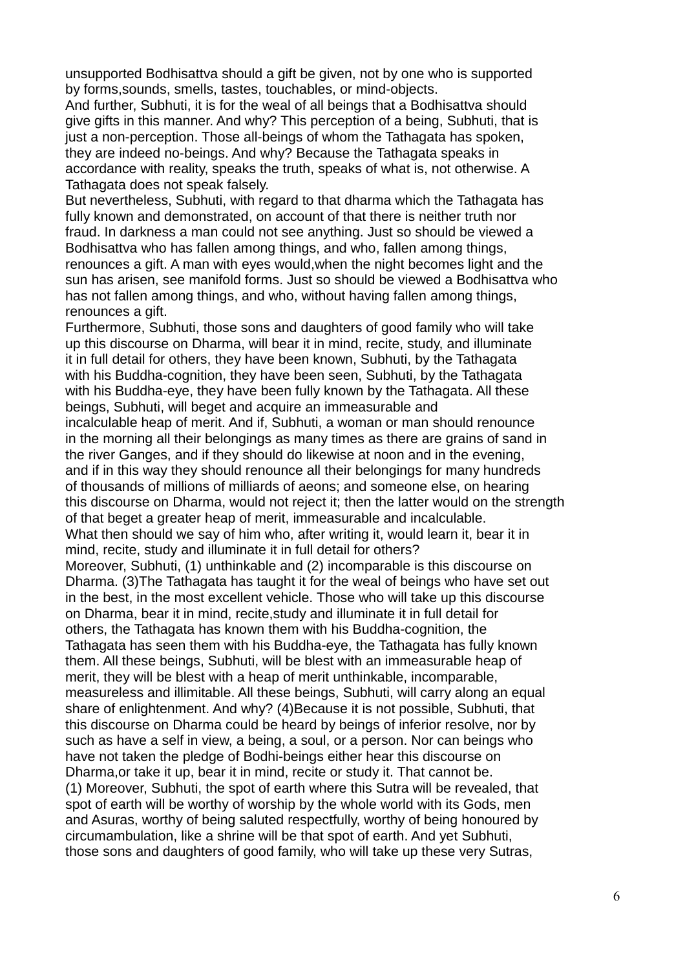unsupported Bodhisattva should a gift be given, not by one who is supported by forms,sounds, smells, tastes, touchables, or mind-objects.

And further, Subhuti, it is for the weal of all beings that a Bodhisattva should give gifts in this manner. And why? This perception of a being, Subhuti, that is just a non-perception. Those all-beings of whom the Tathagata has spoken, they are indeed no-beings. And why? Because the Tathagata speaks in accordance with reality, speaks the truth, speaks of what is, not otherwise. A Tathagata does not speak falsely.

But nevertheless, Subhuti, with regard to that dharma which the Tathagata has fully known and demonstrated, on account of that there is neither truth nor fraud. In darkness a man could not see anything. Just so should be viewed a Bodhisattva who has fallen among things, and who, fallen among things, renounces a gift. A man with eyes would,when the night becomes light and the sun has arisen, see manifold forms. Just so should be viewed a Bodhisattva who has not fallen among things, and who, without having fallen among things, renounces a gift.

Furthermore, Subhuti, those sons and daughters of good family who will take up this discourse on Dharma, will bear it in mind, recite, study, and illuminate it in full detail for others, they have been known, Subhuti, by the Tathagata with his Buddha-cognition, they have been seen, Subhuti, by the Tathagata with his Buddha-eye, they have been fully known by the Tathagata. All these beings, Subhuti, will beget and acquire an immeasurable and incalculable heap of merit. And if, Subhuti, a woman or man should renounce in the morning all their belongings as many times as there are grains of sand in the river Ganges, and if they should do likewise at noon and in the evening, and if in this way they should renounce all their belongings for many hundreds of thousands of millions of milliards of aeons; and someone else, on hearing this discourse on Dharma, would not reject it; then the latter would on the strength of that beget a greater heap of merit, immeasurable and incalculable. What then should we say of him who, after writing it, would learn it, bear it in mind, recite, study and illuminate it in full detail for others? Moreover, Subhuti, (1) unthinkable and (2) incomparable is this discourse on Dharma. (3)The Tathagata has taught it for the weal of beings who have set out in the best, in the most excellent vehicle. Those who will take up this discourse on Dharma, bear it in mind, recite,study and illuminate it in full detail for others, the Tathagata has known them with his Buddha-cognition, the Tathagata has seen them with his Buddha-eye, the Tathagata has fully known them. All these beings, Subhuti, will be blest with an immeasurable heap of merit, they will be blest with a heap of merit unthinkable, incomparable, measureless and illimitable. All these beings, Subhuti, will carry along an equal share of enlightenment. And why? (4)Because it is not possible, Subhuti, that this discourse on Dharma could be heard by beings of inferior resolve, nor by such as have a self in view, a being, a soul, or a person. Nor can beings who have not taken the pledge of Bodhi-beings either hear this discourse on Dharma,or take it up, bear it in mind, recite or study it. That cannot be. (1) Moreover, Subhuti, the spot of earth where this Sutra will be revealed, that spot of earth will be worthy of worship by the whole world with its Gods, men and Asuras, worthy of being saluted respectfully, worthy of being honoured by circumambulation, like a shrine will be that spot of earth. And yet Subhuti, those sons and daughters of good family, who will take up these very Sutras,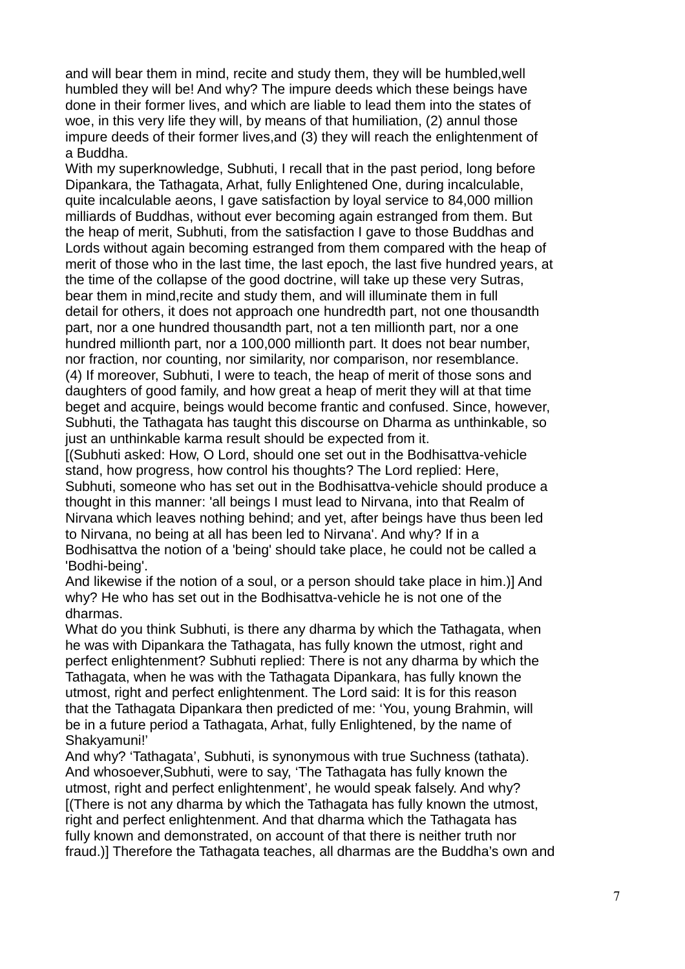and will bear them in mind, recite and study them, they will be humbled,well humbled they will be! And why? The impure deeds which these beings have done in their former lives, and which are liable to lead them into the states of woe, in this very life they will, by means of that humiliation, (2) annul those impure deeds of their former lives,and (3) they will reach the enlightenment of a Buddha.

With my superknowledge, Subhuti, I recall that in the past period, long before Dipankara, the Tathagata, Arhat, fully Enlightened One, during incalculable, quite incalculable aeons, I gave satisfaction by loyal service to 84,000 million milliards of Buddhas, without ever becoming again estranged from them. But the heap of merit, Subhuti, from the satisfaction I gave to those Buddhas and Lords without again becoming estranged from them compared with the heap of merit of those who in the last time, the last epoch, the last five hundred years, at the time of the collapse of the good doctrine, will take up these very Sutras, bear them in mind,recite and study them, and will illuminate them in full detail for others, it does not approach one hundredth part, not one thousandth part, nor a one hundred thousandth part, not a ten millionth part, nor a one hundred millionth part, nor a 100,000 millionth part. It does not bear number, nor fraction, nor counting, nor similarity, nor comparison, nor resemblance. (4) If moreover, Subhuti, I were to teach, the heap of merit of those sons and daughters of good family, and how great a heap of merit they will at that time beget and acquire, beings would become frantic and confused. Since, however, Subhuti, the Tathagata has taught this discourse on Dharma as unthinkable, so just an unthinkable karma result should be expected from it.

[(Subhuti asked: How, O Lord, should one set out in the Bodhisattva-vehicle stand, how progress, how control his thoughts? The Lord replied: Here, Subhuti, someone who has set out in the Bodhisattva-vehicle should produce a thought in this manner: 'all beings I must lead to Nirvana, into that Realm of Nirvana which leaves nothing behind; and yet, after beings have thus been led to Nirvana, no being at all has been led to Nirvana'. And why? If in a Bodhisattva the notion of a 'being' should take place, he could not be called a 'Bodhi-being'.

And likewise if the notion of a soul, or a person should take place in him.)] And why? He who has set out in the Bodhisattva-vehicle he is not one of the dharmas.

What do you think Subhuti, is there any dharma by which the Tathagata, when he was with Dipankara the Tathagata, has fully known the utmost, right and perfect enlightenment? Subhuti replied: There is not any dharma by which the Tathagata, when he was with the Tathagata Dipankara, has fully known the utmost, right and perfect enlightenment. The Lord said: It is for this reason that the Tathagata Dipankara then predicted of me: 'You, young Brahmin, will be in a future period a Tathagata, Arhat, fully Enlightened, by the name of Shakyamuni!'

And why? 'Tathagata', Subhuti, is synonymous with true Suchness (tathata). And whosoever,Subhuti, were to say, 'The Tathagata has fully known the utmost, right and perfect enlightenment', he would speak falsely. And why? [(There is not any dharma by which the Tathagata has fully known the utmost, right and perfect enlightenment. And that dharma which the Tathagata has fully known and demonstrated, on account of that there is neither truth nor fraud.)] Therefore the Tathagata teaches, all dharmas are the Buddha's own and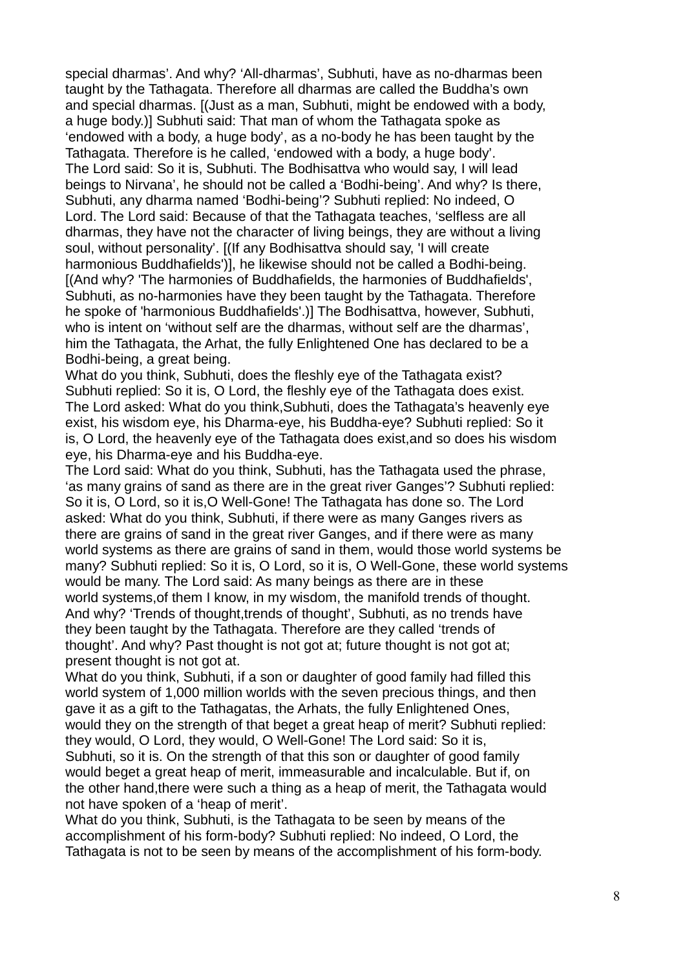special dharmas'. And why? 'All-dharmas', Subhuti, have as no-dharmas been taught by the Tathagata. Therefore all dharmas are called the Buddha's own and special dharmas. [(Just as a man, Subhuti, might be endowed with a body, a huge body.)] Subhuti said: That man of whom the Tathagata spoke as 'endowed with a body, a huge body', as a no-body he has been taught by the Tathagata. Therefore is he called, 'endowed with a body, a huge body'. The Lord said: So it is, Subhuti. The Bodhisattva who would say, I will lead beings to Nirvana', he should not be called a 'Bodhi-being'. And why? Is there, Subhuti, any dharma named 'Bodhi-being'? Subhuti replied: No indeed, O Lord. The Lord said: Because of that the Tathagata teaches, 'selfless are all dharmas, they have not the character of living beings, they are without a living soul, without personality'. [(If any Bodhisattva should say, 'I will create harmonious Buddhafields')], he likewise should not be called a Bodhi-being. [(And why? 'The harmonies of Buddhafields, the harmonies of Buddhafields', Subhuti, as no-harmonies have they been taught by the Tathagata. Therefore he spoke of 'harmonious Buddhafields'.)] The Bodhisattva, however, Subhuti, who is intent on 'without self are the dharmas, without self are the dharmas', him the Tathagata, the Arhat, the fully Enlightened One has declared to be a Bodhi-being, a great being.

What do you think, Subhuti, does the fleshly eye of the Tathagata exist? Subhuti replied: So it is, O Lord, the fleshly eye of the Tathagata does exist. The Lord asked: What do you think,Subhuti, does the Tathagata's heavenly eye exist, his wisdom eye, his Dharma-eye, his Buddha-eye? Subhuti replied: So it is, O Lord, the heavenly eye of the Tathagata does exist,and so does his wisdom eye, his Dharma-eye and his Buddha-eye.

The Lord said: What do you think, Subhuti, has the Tathagata used the phrase, 'as many grains of sand as there are in the great river Ganges'? Subhuti replied: So it is, O Lord, so it is,O Well-Gone! The Tathagata has done so. The Lord asked: What do you think, Subhuti, if there were as many Ganges rivers as there are grains of sand in the great river Ganges, and if there were as many world systems as there are grains of sand in them, would those world systems be many? Subhuti replied: So it is, O Lord, so it is, O Well-Gone, these world systems would be many. The Lord said: As many beings as there are in these world systems,of them I know, in my wisdom, the manifold trends of thought. And why? 'Trends of thought,trends of thought', Subhuti, as no trends have they been taught by the Tathagata. Therefore are they called 'trends of thought'. And why? Past thought is not got at; future thought is not got at; present thought is not got at.

What do you think, Subhuti, if a son or daughter of good family had filled this world system of 1,000 million worlds with the seven precious things, and then gave it as a gift to the Tathagatas, the Arhats, the fully Enlightened Ones, would they on the strength of that beget a great heap of merit? Subhuti replied: they would, O Lord, they would, O Well-Gone! The Lord said: So it is, Subhuti, so it is. On the strength of that this son or daughter of good family would beget a great heap of merit, immeasurable and incalculable. But if, on the other hand,there were such a thing as a heap of merit, the Tathagata would not have spoken of a 'heap of merit'.

What do you think, Subhuti, is the Tathagata to be seen by means of the accomplishment of his form-body? Subhuti replied: No indeed, O Lord, the Tathagata is not to be seen by means of the accomplishment of his form-body.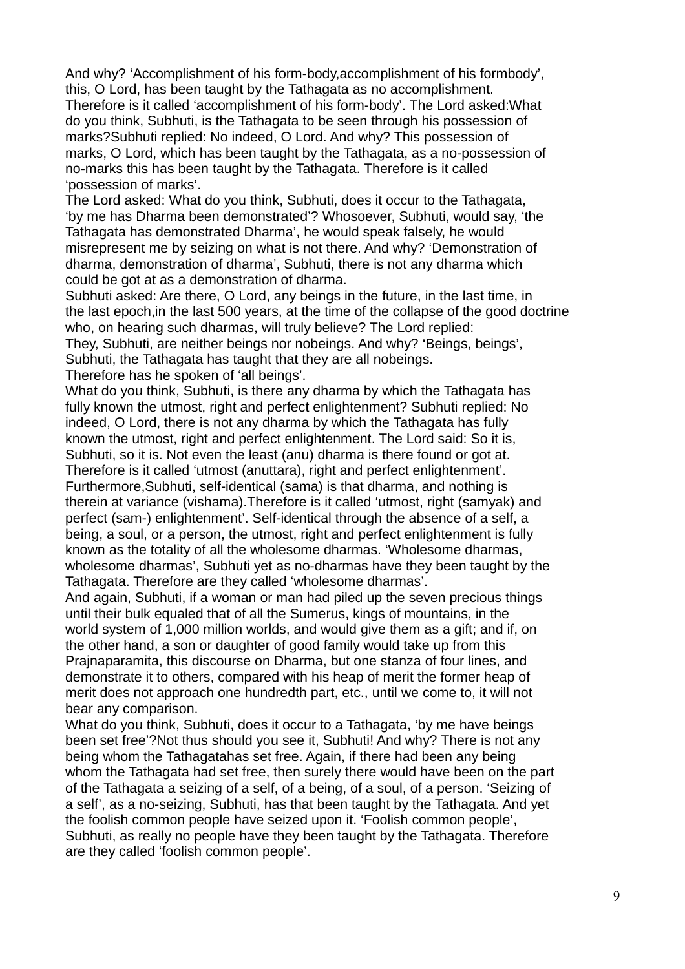And why? 'Accomplishment of his form-body,accomplishment of his formbody', this, O Lord, has been taught by the Tathagata as no accomplishment. Therefore is it called 'accomplishment of his form-body'. The Lord asked:What do you think, Subhuti, is the Tathagata to be seen through his possession of marks?Subhuti replied: No indeed, O Lord. And why? This possession of marks, O Lord, which has been taught by the Tathagata, as a no-possession of no-marks this has been taught by the Tathagata. Therefore is it called 'possession of marks'.

The Lord asked: What do you think, Subhuti, does it occur to the Tathagata, 'by me has Dharma been demonstrated'? Whosoever, Subhuti, would say, 'the Tathagata has demonstrated Dharma', he would speak falsely, he would misrepresent me by seizing on what is not there. And why? 'Demonstration of dharma, demonstration of dharma', Subhuti, there is not any dharma which could be got at as a demonstration of dharma.

Subhuti asked: Are there, O Lord, any beings in the future, in the last time, in the last epoch,in the last 500 years, at the time of the collapse of the good doctrine who, on hearing such dharmas, will truly believe? The Lord replied: They, Subhuti, are neither beings nor nobeings. And why? 'Beings, beings',

Subhuti, the Tathagata has taught that they are all nobeings.

Therefore has he spoken of 'all beings'.

What do you think, Subhuti, is there any dharma by which the Tathagata has fully known the utmost, right and perfect enlightenment? Subhuti replied: No indeed, O Lord, there is not any dharma by which the Tathagata has fully known the utmost, right and perfect enlightenment. The Lord said: So it is, Subhuti, so it is. Not even the least (anu) dharma is there found or got at. Therefore is it called 'utmost (anuttara), right and perfect enlightenment'. Furthermore,Subhuti, self-identical (sama) is that dharma, and nothing is therein at variance (vishama).Therefore is it called 'utmost, right (samyak) and perfect (sam-) enlightenment'. Self-identical through the absence of a self, a being, a soul, or a person, the utmost, right and perfect enlightenment is fully known as the totality of all the wholesome dharmas. 'Wholesome dharmas, wholesome dharmas', Subhuti yet as no-dharmas have they been taught by the Tathagata. Therefore are they called 'wholesome dharmas'.

And again, Subhuti, if a woman or man had piled up the seven precious things until their bulk equaled that of all the Sumerus, kings of mountains, in the world system of 1,000 million worlds, and would give them as a gift; and if, on the other hand, a son or daughter of good family would take up from this Prajnaparamita, this discourse on Dharma, but one stanza of four lines, and demonstrate it to others, compared with his heap of merit the former heap of merit does not approach one hundredth part, etc., until we come to, it will not bear any comparison.

What do you think, Subhuti, does it occur to a Tathagata, 'by me have beings been set free'?Not thus should you see it, Subhuti! And why? There is not any being whom the Tathagatahas set free. Again, if there had been any being whom the Tathagata had set free, then surely there would have been on the part of the Tathagata a seizing of a self, of a being, of a soul, of a person. 'Seizing of a self', as a no-seizing, Subhuti, has that been taught by the Tathagata. And yet the foolish common people have seized upon it. 'Foolish common people', Subhuti, as really no people have they been taught by the Tathagata. Therefore are they called 'foolish common people'.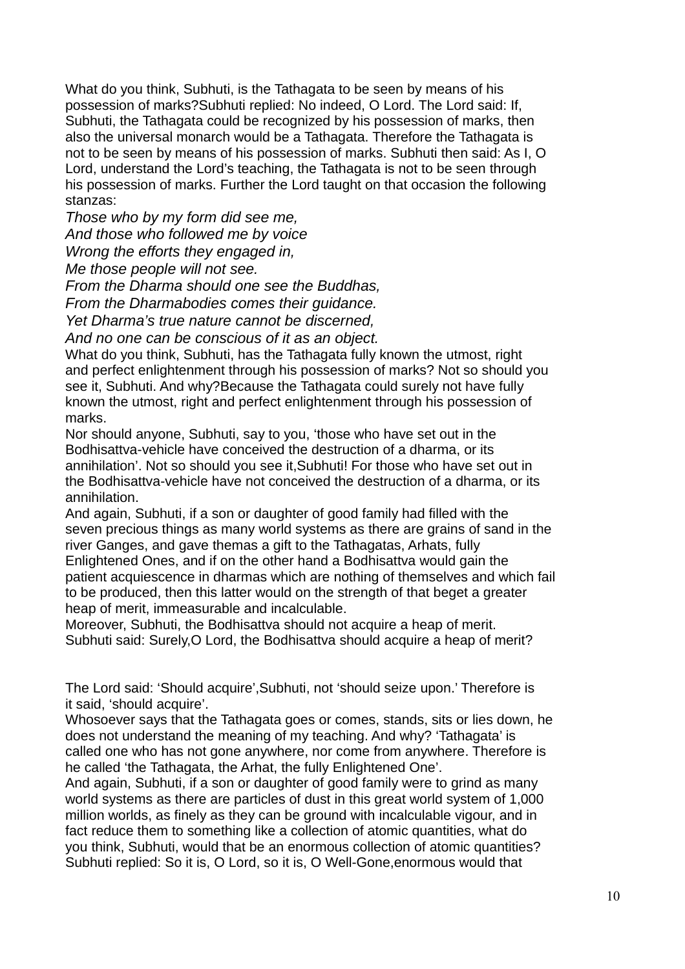What do you think, Subhuti, is the Tathagata to be seen by means of his possession of marks?Subhuti replied: No indeed, O Lord. The Lord said: If, Subhuti, the Tathagata could be recognized by his possession of marks, then also the universal monarch would be a Tathagata. Therefore the Tathagata is not to be seen by means of his possession of marks. Subhuti then said: As I, O Lord, understand the Lord's teaching, the Tathagata is not to be seen through his possession of marks. Further the Lord taught on that occasion the following stanzas:

*Those who by my form did see me,*

*And those who followed me by voice*

*Wrong the efforts they engaged in,*

*Me those people will not see.*

*From the Dharma should one see the Buddhas,*

*From the Dharmabodies comes their guidance.*

*Yet Dharma's true nature cannot be discerned,*

*And no one can be conscious of it as an object.*

What do you think, Subhuti, has the Tathagata fully known the utmost, right and perfect enlightenment through his possession of marks? Not so should you see it, Subhuti. And why?Because the Tathagata could surely not have fully known the utmost, right and perfect enlightenment through his possession of marks.

Nor should anyone, Subhuti, say to you, 'those who have set out in the Bodhisattva-vehicle have conceived the destruction of a dharma, or its annihilation'. Not so should you see it,Subhuti! For those who have set out in the Bodhisattva-vehicle have not conceived the destruction of a dharma, or its annihilation.

And again, Subhuti, if a son or daughter of good family had filled with the seven precious things as many world systems as there are grains of sand in the river Ganges, and gave themas a gift to the Tathagatas, Arhats, fully Enlightened Ones, and if on the other hand a Bodhisattva would gain the patient acquiescence in dharmas which are nothing of themselves and which fail to be produced, then this latter would on the strength of that beget a greater heap of merit, immeasurable and incalculable.

Moreover, Subhuti, the Bodhisattva should not acquire a heap of merit. Subhuti said: Surely,O Lord, the Bodhisattva should acquire a heap of merit?

The Lord said: 'Should acquire',Subhuti, not 'should seize upon.' Therefore is it said, 'should acquire'.

Whosoever says that the Tathagata goes or comes, stands, sits or lies down, he does not understand the meaning of my teaching. And why? 'Tathagata' is called one who has not gone anywhere, nor come from anywhere. Therefore is he called 'the Tathagata, the Arhat, the fully Enlightened One'.

And again, Subhuti, if a son or daughter of good family were to grind as many world systems as there are particles of dust in this great world system of 1,000 million worlds, as finely as they can be ground with incalculable vigour, and in fact reduce them to something like a collection of atomic quantities, what do you think, Subhuti, would that be an enormous collection of atomic quantities? Subhuti replied: So it is, O Lord, so it is, O Well-Gone,enormous would that